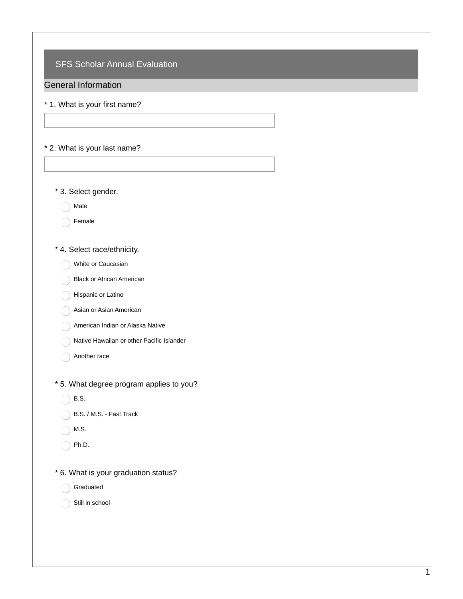SFS Scholar Annual Evaluation

General Information

- \* 1. What is your first name?
- \* 2. What is your last name?
	- \* 3. Select gender.

Male

- Female
- \* 4. Select race/ethnicity.
	- White or Caucasian
	- Black or African American
	- Hispanic or Latino
	- Asian or Asian American
	- American Indian or Alaska Native
	- Native Hawaiian or other Pacific Islander
	- Another race
- \* 5. What degree program applies to you?
	- B.S.
	- B.S. / M.S. Fast Track
	- M.S.
	- $\bigcap$  Ph.D.
- \* 6. What is your graduation status?
	- Graduated
	- Still in school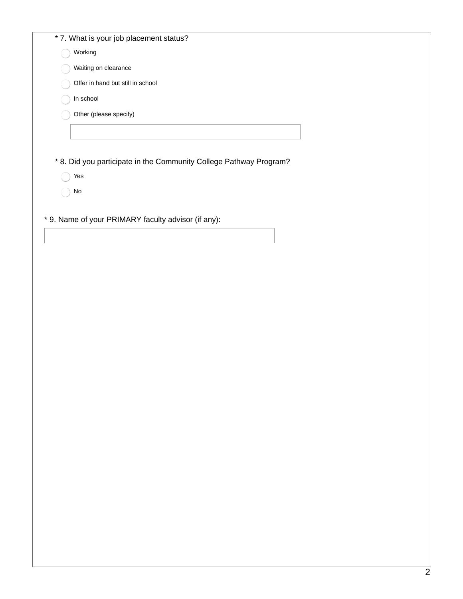|  |  |  | * 7. What is your job placement status? |
|--|--|--|-----------------------------------------|
|--|--|--|-----------------------------------------|

| Working                           |
|-----------------------------------|
| Waiting on clearance              |
| Offer in hand but still in school |
| In school                         |
| Other (please specify)            |
|                                   |
|                                   |

\* 8. Did you participate in the Community College Pathway Program?

- Yes
- ◯ No
- \* 9. Name of your PRIMARY faculty advisor (if any):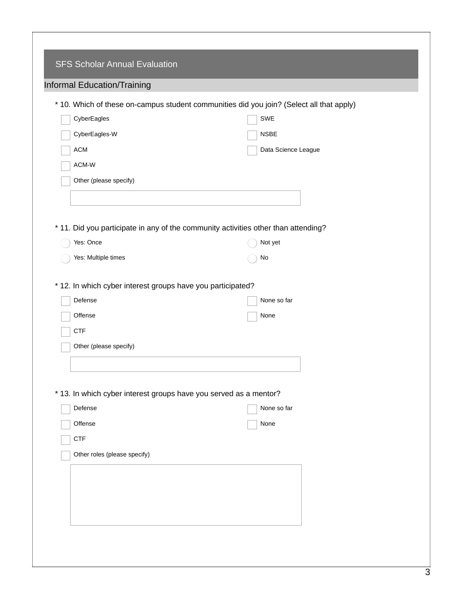| <b>SFS Scholar Annual Evaluation</b>                        |                                                                                          |
|-------------------------------------------------------------|------------------------------------------------------------------------------------------|
| Informal Education/Training                                 |                                                                                          |
|                                                             | * 10. Which of these on-campus student communities did you join? (Select all that apply) |
| CyberEagles                                                 | SWE                                                                                      |
| CyberEagles-W                                               | <b>NSBE</b>                                                                              |
| <b>ACM</b>                                                  | Data Science League                                                                      |
| ACM-W                                                       |                                                                                          |
| Other (please specify)                                      |                                                                                          |
|                                                             |                                                                                          |
|                                                             |                                                                                          |
|                                                             | * 11. Did you participate in any of the community activities other than attending?       |
| Yes: Once                                                   | Not yet                                                                                  |
| Yes: Multiple times                                         | No                                                                                       |
|                                                             |                                                                                          |
| * 12. In which cyber interest groups have you participated? |                                                                                          |
| Defense                                                     | None so far                                                                              |
| Offense                                                     | None                                                                                     |
| <b>CTF</b>                                                  |                                                                                          |
| Other (please specify)                                      |                                                                                          |
|                                                             |                                                                                          |
|                                                             |                                                                                          |
|                                                             | * 13. In which cyber interest groups have you served as a mentor?                        |
|                                                             |                                                                                          |
| Defense                                                     | None so far                                                                              |
| Offense                                                     | None                                                                                     |
| CTF                                                         |                                                                                          |
| Other roles (please specify)                                |                                                                                          |
|                                                             |                                                                                          |
|                                                             |                                                                                          |
|                                                             |                                                                                          |
|                                                             |                                                                                          |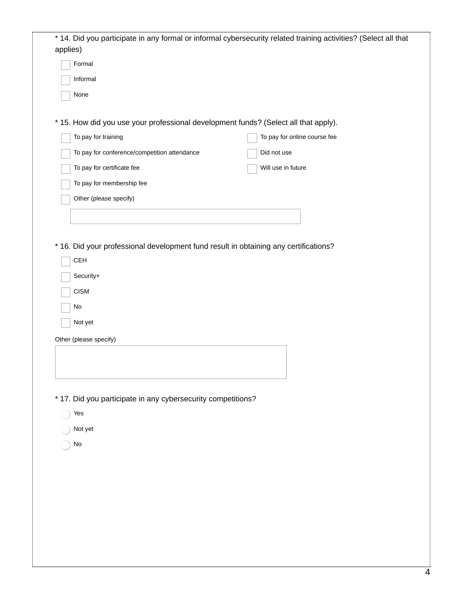| Formal                                                       |                                                                                      |
|--------------------------------------------------------------|--------------------------------------------------------------------------------------|
| Informal                                                     |                                                                                      |
| None                                                         |                                                                                      |
|                                                              |                                                                                      |
|                                                              | * 15. How did you use your professional development funds? (Select all that apply).  |
| To pay for training                                          | To pay for online course fee                                                         |
| To pay for conference/competition attendance                 | Did not use                                                                          |
| To pay for certificate fee                                   | Will use in future                                                                   |
|                                                              |                                                                                      |
| To pay for membership fee                                    |                                                                                      |
| Other (please specify)                                       |                                                                                      |
|                                                              |                                                                                      |
|                                                              |                                                                                      |
|                                                              | * 16. Did your professional development fund result in obtaining any certifications? |
|                                                              |                                                                                      |
| <b>CEH</b>                                                   |                                                                                      |
| Security+                                                    |                                                                                      |
|                                                              |                                                                                      |
| <b>CISM</b>                                                  |                                                                                      |
| No                                                           |                                                                                      |
| Not yet                                                      |                                                                                      |
| Other (please specify)                                       |                                                                                      |
|                                                              |                                                                                      |
|                                                              |                                                                                      |
|                                                              |                                                                                      |
| * 17. Did you participate in any cybersecurity competitions? |                                                                                      |
| Yes                                                          |                                                                                      |
|                                                              |                                                                                      |
| Not yet                                                      |                                                                                      |
| $\operatorname{\mathsf{No}}$                                 |                                                                                      |
|                                                              |                                                                                      |
|                                                              |                                                                                      |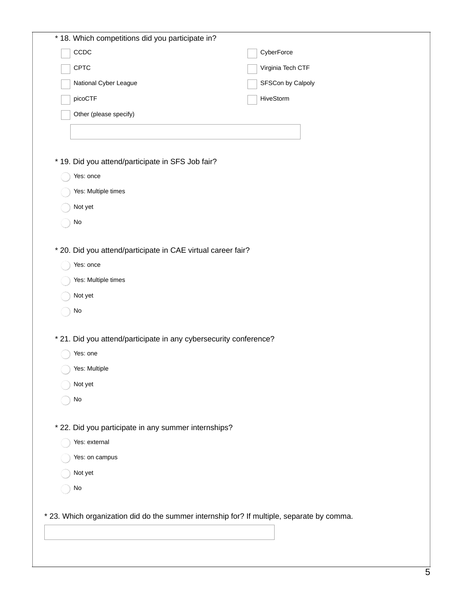| * 18. Which competitions did you participate in?                                           |                   |
|--------------------------------------------------------------------------------------------|-------------------|
| CCDC                                                                                       | CyberForce        |
| CPTC                                                                                       | Virginia Tech CTF |
| National Cyber League                                                                      | SFSCon by Calpoly |
| picoCTF                                                                                    | HiveStorm         |
| Other (please specify)                                                                     |                   |
|                                                                                            |                   |
|                                                                                            |                   |
| * 19. Did you attend/participate in SFS Job fair?                                          |                   |
| Yes: once                                                                                  |                   |
| Yes: Multiple times                                                                        |                   |
| Not yet                                                                                    |                   |
| $\mathsf{No}$                                                                              |                   |
|                                                                                            |                   |
| * 20. Did you attend/participate in CAE virtual career fair?                               |                   |
| Yes: once                                                                                  |                   |
| Yes: Multiple times                                                                        |                   |
| Not yet                                                                                    |                   |
| $\mathsf{No}$                                                                              |                   |
| * 21. Did you attend/participate in any cybersecurity conference?                          |                   |
| Yes: one                                                                                   |                   |
| Yes: Multiple                                                                              |                   |
| Not yet                                                                                    |                   |
| $\operatorname{\mathsf{No}}$                                                               |                   |
|                                                                                            |                   |
| * 22. Did you participate in any summer internships?                                       |                   |
| Yes: external                                                                              |                   |
| Yes: on campus                                                                             |                   |
| Not yet                                                                                    |                   |
| $\mathsf{No}$                                                                              |                   |
|                                                                                            |                   |
| * 23. Which organization did do the summer internship for? If multiple, separate by comma. |                   |
|                                                                                            |                   |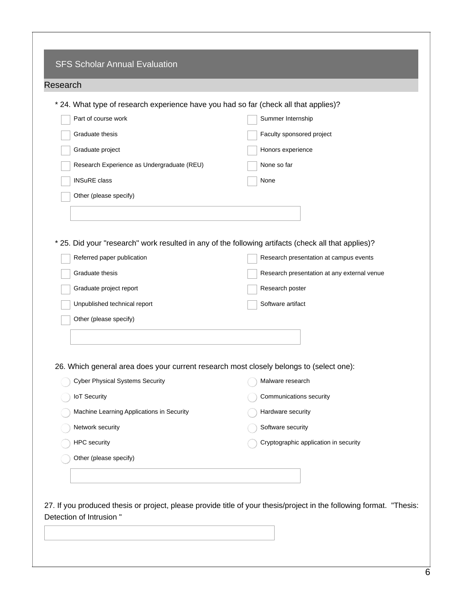| Research                                                                                            |                                             |
|-----------------------------------------------------------------------------------------------------|---------------------------------------------|
| * 24. What type of research experience have you had so far (check all that applies)?                |                                             |
| Part of course work                                                                                 | Summer Internship                           |
| Graduate thesis                                                                                     | Faculty sponsored project                   |
| Graduate project                                                                                    | Honors experience                           |
| Research Experience as Undergraduate (REU)                                                          | None so far                                 |
| <b>INSuRE</b> class                                                                                 | None                                        |
| Other (please specify)                                                                              |                                             |
|                                                                                                     |                                             |
|                                                                                                     |                                             |
| * 25. Did your "research" work resulted in any of the following artifacts (check all that applies)? |                                             |
| Referred paper publication                                                                          | Research presentation at campus events      |
| Graduate thesis                                                                                     | Research presentation at any external venue |
| Graduate project report                                                                             | Research poster                             |
| Unpublished technical report                                                                        | Software artifact                           |
| Other (please specify)                                                                              |                                             |
|                                                                                                     |                                             |
|                                                                                                     |                                             |
| 26. Which general area does your current research most closely belongs to (select one):             |                                             |
| <b>Cyber Physical Systems Security</b>                                                              | Malware research                            |
| <b>IoT Security</b>                                                                                 | Communications security                     |
| Machine Learning Applications in Security                                                           | Hardware security                           |
| Network security                                                                                    | Software security                           |
| HPC security                                                                                        | Cryptographic application in security       |
| Other (please specify)                                                                              |                                             |
|                                                                                                     |                                             |
|                                                                                                     |                                             |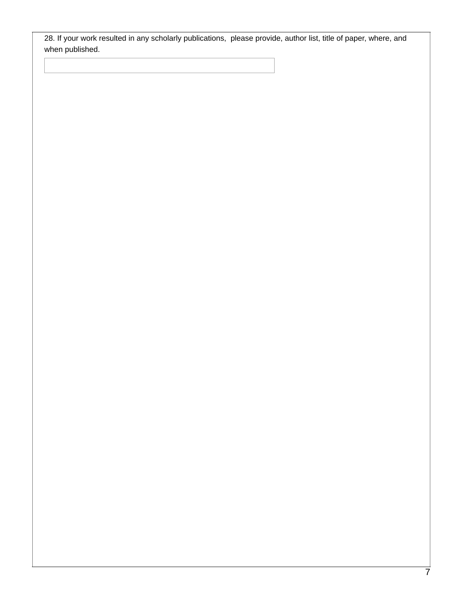28. If your work resulted in any scholarly publications, please provide, author list, title of paper, where, and when published.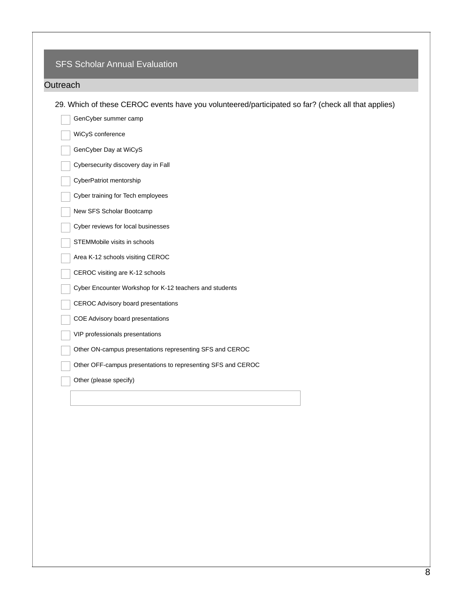## SFS Scholar Annual Evaluation

## **Outreach**

29. Which of these CEROC events have you volunteered/participated so far? (check all that applies)

| GenCyber summer camp                                         |
|--------------------------------------------------------------|
| WiCyS conference                                             |
| GenCyber Day at WiCyS                                        |
| Cybersecurity discovery day in Fall                          |
| CyberPatriot mentorship                                      |
| Cyber training for Tech employees                            |
| New SFS Scholar Bootcamp                                     |
| Cyber reviews for local businesses                           |
| STEMMobile visits in schools                                 |
| Area K-12 schools visiting CEROC                             |
| CEROC visiting are K-12 schools                              |
| Cyber Encounter Workshop for K-12 teachers and students      |
| <b>CEROC Advisory board presentations</b>                    |
| COE Advisory board presentations                             |
| VIP professionals presentations                              |
| Other ON-campus presentations representing SFS and CEROC     |
| Other OFF-campus presentations to representing SFS and CEROC |
| Other (please specify)                                       |
|                                                              |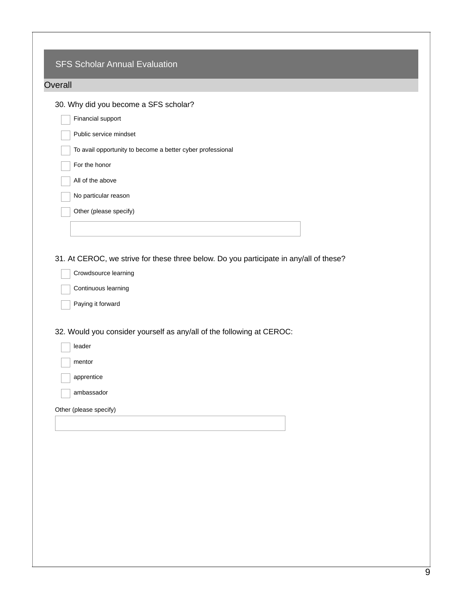| Financial support<br>Public service mindset<br>To avail opportunity to become a better cyber professional<br>For the honor<br>All of the above<br>No particular reason<br>Other (please specify)<br>31. At CEROC, we strive for these three below. Do you participate in any/all of these?<br>Crowdsource learning<br>Continuous learning<br>Paying it forward<br>32. Would you consider yourself as any/all of the following at CEROC:<br>leader<br>mentor<br>apprentice<br>ambassador<br>Other (please specify) | 30. Why did you become a SFS scholar? |
|-------------------------------------------------------------------------------------------------------------------------------------------------------------------------------------------------------------------------------------------------------------------------------------------------------------------------------------------------------------------------------------------------------------------------------------------------------------------------------------------------------------------|---------------------------------------|
|                                                                                                                                                                                                                                                                                                                                                                                                                                                                                                                   |                                       |
|                                                                                                                                                                                                                                                                                                                                                                                                                                                                                                                   |                                       |
|                                                                                                                                                                                                                                                                                                                                                                                                                                                                                                                   |                                       |
|                                                                                                                                                                                                                                                                                                                                                                                                                                                                                                                   |                                       |
|                                                                                                                                                                                                                                                                                                                                                                                                                                                                                                                   |                                       |
|                                                                                                                                                                                                                                                                                                                                                                                                                                                                                                                   |                                       |
|                                                                                                                                                                                                                                                                                                                                                                                                                                                                                                                   |                                       |
|                                                                                                                                                                                                                                                                                                                                                                                                                                                                                                                   |                                       |
|                                                                                                                                                                                                                                                                                                                                                                                                                                                                                                                   |                                       |
|                                                                                                                                                                                                                                                                                                                                                                                                                                                                                                                   |                                       |
|                                                                                                                                                                                                                                                                                                                                                                                                                                                                                                                   |                                       |
|                                                                                                                                                                                                                                                                                                                                                                                                                                                                                                                   |                                       |
|                                                                                                                                                                                                                                                                                                                                                                                                                                                                                                                   |                                       |
|                                                                                                                                                                                                                                                                                                                                                                                                                                                                                                                   |                                       |
|                                                                                                                                                                                                                                                                                                                                                                                                                                                                                                                   |                                       |
|                                                                                                                                                                                                                                                                                                                                                                                                                                                                                                                   |                                       |
|                                                                                                                                                                                                                                                                                                                                                                                                                                                                                                                   |                                       |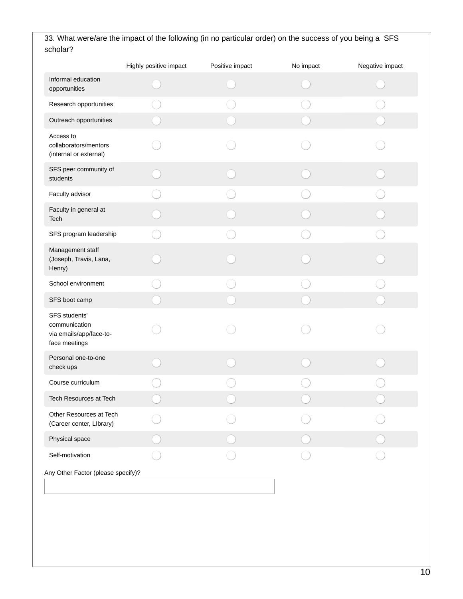|                                                                            | Highly positive impact | Positive impact | No impact | Negative impact |
|----------------------------------------------------------------------------|------------------------|-----------------|-----------|-----------------|
| Informal education<br>opportunities                                        |                        |                 |           |                 |
| Research opportunities                                                     |                        |                 |           |                 |
| Outreach opportunities                                                     |                        |                 |           |                 |
| Access to<br>collaborators/mentors<br>(internal or external)               |                        |                 |           |                 |
| SFS peer community of<br>students                                          |                        |                 |           |                 |
| Faculty advisor                                                            |                        |                 |           |                 |
| Faculty in general at<br>Tech                                              |                        |                 |           |                 |
| SFS program leadership                                                     |                        |                 |           |                 |
| Management staff<br>(Joseph, Travis, Lana,<br>Henry)                       |                        |                 |           |                 |
| School environment                                                         |                        |                 |           |                 |
| SFS boot camp                                                              |                        |                 |           |                 |
| SFS students'<br>communication<br>via emails/app/face-to-<br>face meetings |                        |                 |           |                 |
| Personal one-to-one<br>check ups                                           |                        |                 |           |                 |
| Course curriculum                                                          |                        |                 |           |                 |
| Tech Resources at Tech                                                     |                        |                 |           |                 |
| Other Resources at Tech<br>(Career center, Library)                        |                        |                 |           |                 |
| Physical space                                                             |                        |                 |           |                 |
| Self-motivation                                                            |                        |                 |           |                 |
| Any Other Factor (please specify)?                                         |                        |                 |           |                 |
|                                                                            |                        |                 |           |                 |

## 33. What were/are the impact of the following (in no particular order) on the success of you being a SFS scholar?